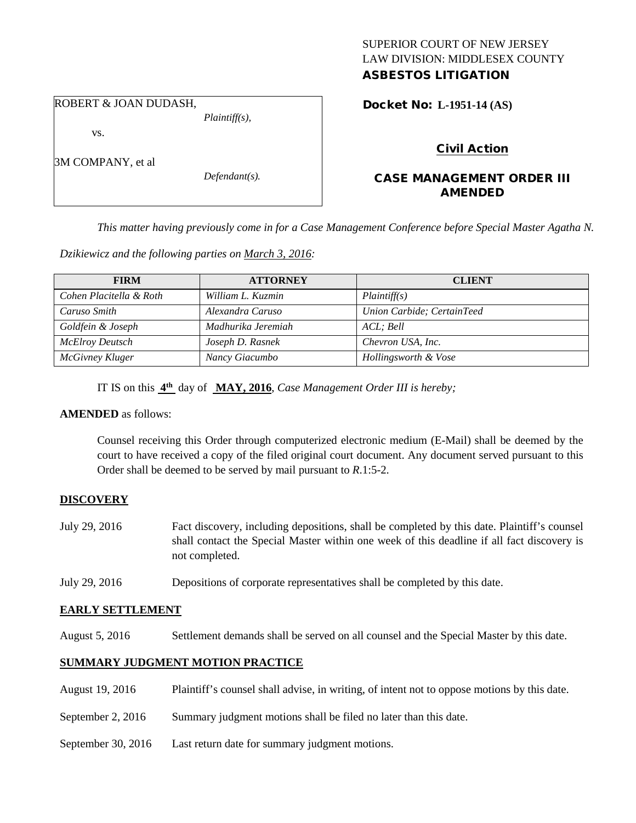### SUPERIOR COURT OF NEW JERSEY LAW DIVISION: MIDDLESEX COUNTY ASBESTOS LITIGATION

# ROBERT & JOAN DUDASH,

*Plaintiff(s),*

vs.

3M COMPANY, et al

*Defendant(s).*

Docket No: **L-1951-14 (AS)** 

## Civil Action

## CASE MANAGEMENT ORDER III AMENDED

*This matter having previously come in for a Case Management Conference before Special Master Agatha N.* 

*Dzikiewicz and the following parties on March 3, 2016:*

| <b>FIRM</b>             | <b>ATTORNEY</b>    | <b>CLIENT</b>              |
|-------------------------|--------------------|----------------------------|
| Cohen Placitella & Roth | William L. Kuzmin  | Plaintiff(s)               |
| Caruso Smith            | Alexandra Caruso   | Union Carbide; CertainTeed |
| Goldfein & Joseph       | Madhurika Jeremiah | ACL: Bell                  |
| McElroy Deutsch         | Joseph D. Rasnek   | Chevron USA, Inc.          |
| McGivney Kluger         | Nancy Giacumbo     | Hollingsworth & Vose       |

IT IS on this **4th** day of **MAY, 2016**, *Case Management Order III is hereby;*

### **AMENDED** as follows:

Counsel receiving this Order through computerized electronic medium (E-Mail) shall be deemed by the court to have received a copy of the filed original court document. Any document served pursuant to this Order shall be deemed to be served by mail pursuant to *R*.1:5-2.

## **DISCOVERY**

- July 29, 2016 Fact discovery, including depositions, shall be completed by this date. Plaintiff's counsel shall contact the Special Master within one week of this deadline if all fact discovery is not completed.
- July 29, 2016 Depositions of corporate representatives shall be completed by this date.

### **EARLY SETTLEMENT**

August 5, 2016 Settlement demands shall be served on all counsel and the Special Master by this date.

## **SUMMARY JUDGMENT MOTION PRACTICE**

| August 19, 2016    | Plaintiff's counsel shall advise, in writing, of intent not to oppose motions by this date. |
|--------------------|---------------------------------------------------------------------------------------------|
| September 2, 2016  | Summary judgment motions shall be filed no later than this date.                            |
| September 30, 2016 | Last return date for summary judgment motions.                                              |